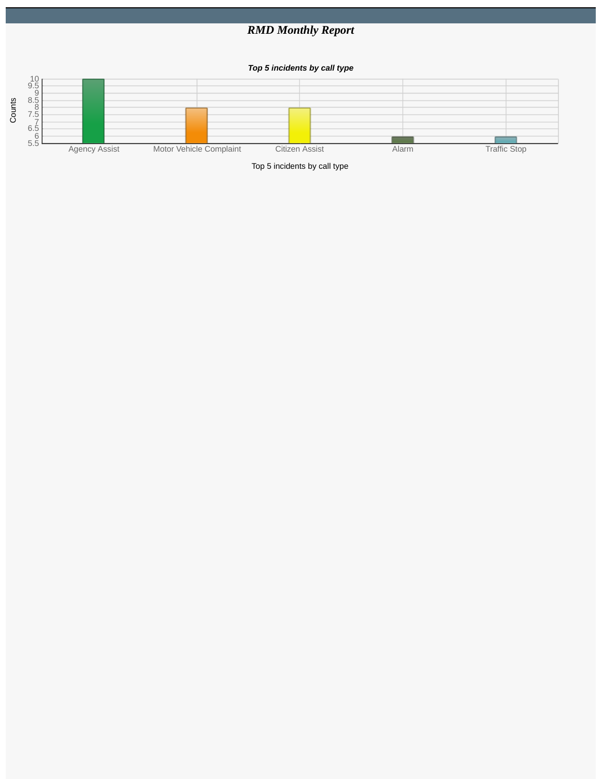## *RMD Monthly Report*

## *Top 5 incidents by call type*



Top 5 incidents by call type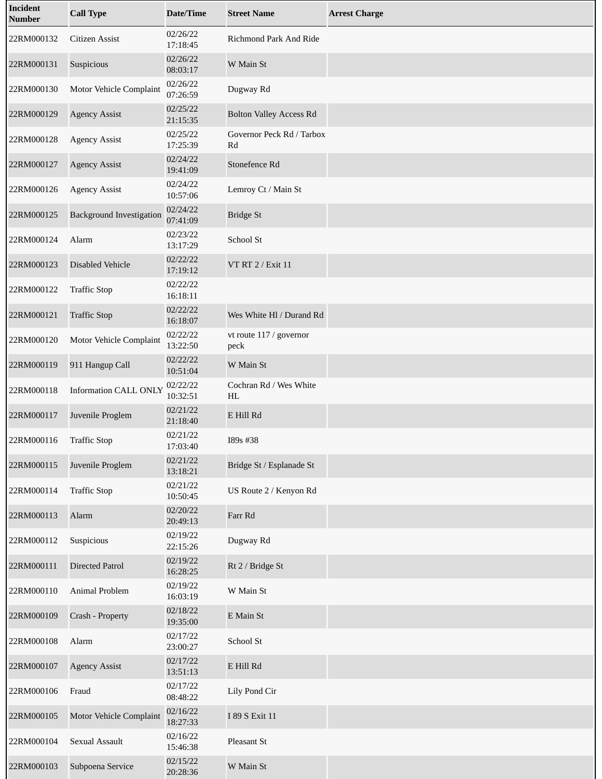| Incident<br><b>Number</b> | <b>Call Type</b>                | <b>Date/Time</b>     | <b>Street Name</b>              | <b>Arrest Charge</b> |
|---------------------------|---------------------------------|----------------------|---------------------------------|----------------------|
| 22RM000132                | Citizen Assist                  | 02/26/22<br>17:18:45 | Richmond Park And Ride          |                      |
| 22RM000131                | Suspicious                      | 02/26/22<br>08:03:17 | W Main St                       |                      |
| 22RM000130                | Motor Vehicle Complaint         | 02/26/22<br>07:26:59 | Dugway Rd                       |                      |
| 22RM000129                | <b>Agency Assist</b>            | 02/25/22<br>21:15:35 | <b>Bolton Valley Access Rd</b>  |                      |
| 22RM000128                | <b>Agency Assist</b>            | 02/25/22<br>17:25:39 | Governor Peck Rd / Tarbox<br>Rd |                      |
| 22RM000127                | <b>Agency Assist</b>            | 02/24/22<br>19:41:09 | Stonefence Rd                   |                      |
| 22RM000126                | <b>Agency Assist</b>            | 02/24/22<br>10:57:06 | Lemroy Ct / Main St             |                      |
| 22RM000125                | <b>Background Investigation</b> | 02/24/22<br>07:41:09 | <b>Bridge St</b>                |                      |
| 22RM000124                | Alarm                           | 02/23/22<br>13:17:29 | School St                       |                      |
| 22RM000123                | <b>Disabled Vehicle</b>         | 02/22/22<br>17:19:12 | VT RT 2 / Exit 11               |                      |
| 22RM000122                | <b>Traffic Stop</b>             | 02/22/22<br>16:18:11 |                                 |                      |
| 22RM000121                | <b>Traffic Stop</b>             | 02/22/22<br>16:18:07 | Wes White Hl / Durand Rd        |                      |
| 22RM000120                | Motor Vehicle Complaint         | 02/22/22<br>13:22:50 | vt route 117 / governor<br>peck |                      |
| 22RM000119                | 911 Hangup Call                 | 02/22/22<br>10:51:04 | W Main St                       |                      |
| 22RM000118                | <b>Information CALL ONLY</b>    | 02/22/22<br>10:32:51 | Cochran Rd / Wes White<br>HL    |                      |
| 22RM000117                | Juvenile Proglem                | 02/21/22<br>21:18:40 | E Hill Rd                       |                      |
| 22RM000116                | <b>Traffic Stop</b>             | 02/21/22<br>17:03:40 | I89s #38                        |                      |
| 22RM000115                | Juvenile Proglem                | 02/21/22<br>13:18:21 | Bridge St / Esplanade St        |                      |
| 22RM000114                | <b>Traffic Stop</b>             | 02/21/22<br>10:50:45 | US Route 2 / Kenyon Rd          |                      |
| 22RM000113                | Alarm                           | 02/20/22<br>20:49:13 | Farr Rd                         |                      |
| 22RM000112                | Suspicious                      | 02/19/22<br>22:15:26 | Dugway Rd                       |                      |
| 22RM000111                | <b>Directed Patrol</b>          | 02/19/22<br>16:28:25 | Rt 2 / Bridge St                |                      |
| 22RM000110                | Animal Problem                  | 02/19/22<br>16:03:19 | W Main St                       |                      |
| 22RM000109                | Crash - Property                | 02/18/22<br>19:35:00 | E Main St                       |                      |
| 22RM000108                | Alarm                           | 02/17/22<br>23:00:27 | School St                       |                      |
| 22RM000107                | <b>Agency Assist</b>            | 02/17/22<br>13:51:13 | E Hill Rd                       |                      |
| 22RM000106                | Fraud                           | 02/17/22<br>08:48:22 | Lily Pond Cir                   |                      |
| 22RM000105                | <b>Motor Vehicle Complaint</b>  | 02/16/22<br>18:27:33 | I 89 S Exit 11                  |                      |
| 22RM000104                | Sexual Assault                  | 02/16/22<br>15:46:38 | Pleasant St                     |                      |
| 22RM000103                | Subpoena Service                | 02/15/22<br>20:28:36 | W Main St                       |                      |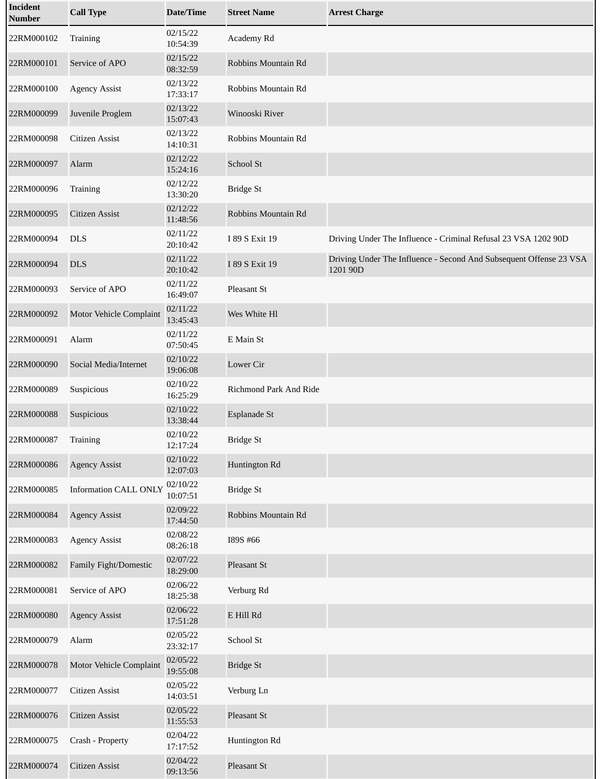| Incident<br><b>Number</b> | <b>Call Type</b>               | <b>Date/Time</b>     | <b>Street Name</b>     | <b>Arrest Charge</b>                                                           |
|---------------------------|--------------------------------|----------------------|------------------------|--------------------------------------------------------------------------------|
| 22RM000102                | Training                       | 02/15/22<br>10:54:39 | Academy Rd             |                                                                                |
| 22RM000101                | Service of APO                 | 02/15/22<br>08:32:59 | Robbins Mountain Rd    |                                                                                |
| 22RM000100                | <b>Agency Assist</b>           | 02/13/22<br>17:33:17 | Robbins Mountain Rd    |                                                                                |
| 22RM000099                | Juvenile Proglem               | 02/13/22<br>15:07:43 | Winooski River         |                                                                                |
| 22RM000098                | <b>Citizen Assist</b>          | 02/13/22<br>14:10:31 | Robbins Mountain Rd    |                                                                                |
| 22RM000097                | Alarm                          | 02/12/22<br>15:24:16 | School St              |                                                                                |
| 22RM000096                | Training                       | 02/12/22<br>13:30:20 | <b>Bridge St</b>       |                                                                                |
| 22RM000095                | <b>Citizen Assist</b>          | 02/12/22<br>11:48:56 | Robbins Mountain Rd    |                                                                                |
| 22RM000094                | <b>DLS</b>                     | 02/11/22<br>20:10:42 | I 89 S Exit 19         | Driving Under The Influence - Criminal Refusal 23 VSA 1202 90D                 |
| 22RM000094                | <b>DLS</b>                     | 02/11/22<br>20:10:42 | I 89 S Exit 19         | Driving Under The Influence - Second And Subsequent Offense 23 VSA<br>1201 90D |
| 22RM000093                | Service of APO                 | 02/11/22<br>16:49:07 | Pleasant St            |                                                                                |
| 22RM000092                | <b>Motor Vehicle Complaint</b> | 02/11/22<br>13:45:43 | Wes White Hl           |                                                                                |
| 22RM000091                | Alarm                          | 02/11/22<br>07:50:45 | E Main St              |                                                                                |
| 22RM000090                | Social Media/Internet          | 02/10/22<br>19:06:08 | <b>Lower Cir</b>       |                                                                                |
| 22RM000089                | Suspicious                     | 02/10/22<br>16:25:29 | Richmond Park And Ride |                                                                                |
| 22RM000088                | Suspicious                     | 02/10/22<br>13:38:44 | Esplanade St           |                                                                                |
| 22RM000087                | Training                       | 02/10/22<br>12:17:24 | <b>Bridge St</b>       |                                                                                |
| 22RM000086                | <b>Agency Assist</b>           | 02/10/22<br>12:07:03 | Huntington Rd          |                                                                                |
| 22RM000085                | <b>Information CALL ONLY</b>   | 02/10/22<br>10:07:51 | <b>Bridge St</b>       |                                                                                |
| 22RM000084                | <b>Agency Assist</b>           | 02/09/22<br>17:44:50 | Robbins Mountain Rd    |                                                                                |
| 22RM000083                | <b>Agency Assist</b>           | 02/08/22<br>08:26:18 | I89S #66               |                                                                                |
| 22RM000082                | Family Fight/Domestic          | 02/07/22<br>18:29:00 | Pleasant St            |                                                                                |
| 22RM000081                | Service of APO                 | 02/06/22<br>18:25:38 | Verburg Rd             |                                                                                |
| 22RM000080                | <b>Agency Assist</b>           | 02/06/22<br>17:51:28 | E Hill Rd              |                                                                                |
| 22RM000079                | Alarm                          | 02/05/22<br>23:32:17 | School St              |                                                                                |
| 22RM000078                | Motor Vehicle Complaint        | 02/05/22<br>19:55:08 | <b>Bridge St</b>       |                                                                                |
| 22RM000077                | Citizen Assist                 | 02/05/22<br>14:03:51 | Verburg Ln             |                                                                                |
| 22RM000076                | <b>Citizen Assist</b>          | 02/05/22<br>11:55:53 | Pleasant St            |                                                                                |
| 22RM000075                | Crash - Property               | 02/04/22<br>17:17:52 | Huntington Rd          |                                                                                |
| 22RM000074                | Citizen Assist                 | 02/04/22<br>09:13:56 | Pleasant St            |                                                                                |